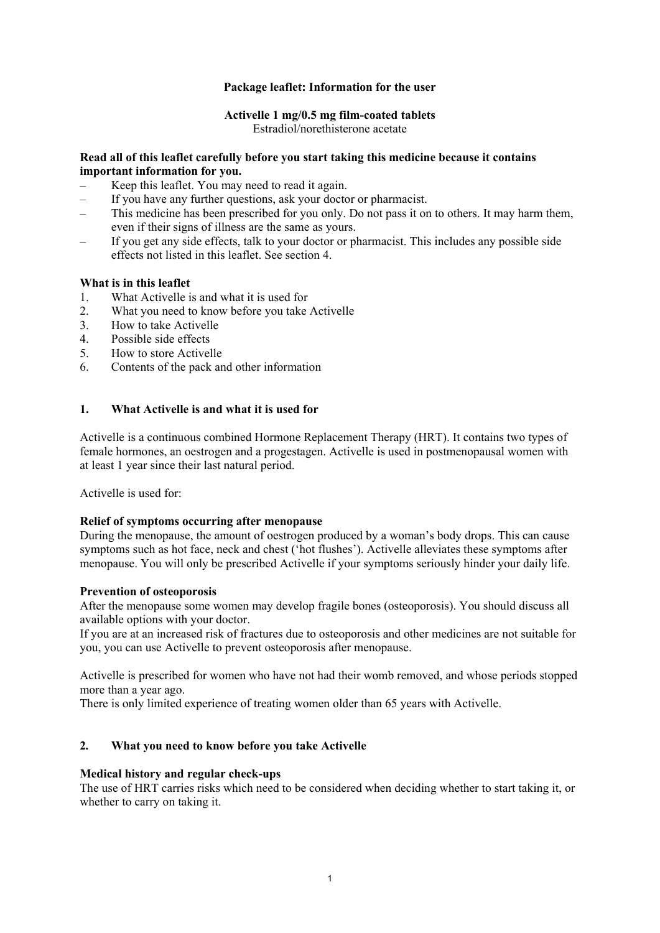## **Package leaflet: Information for the user**

# **Activelle 1 mg/0.5 mg film-coated tablets**

Estradiol/norethisterone acetate

## **Read all of this leaflet carefully before you start taking this medicine because it contains important information for you.**

- Keep this leaflet. You may need to read it again.
- If you have any further questions, ask your doctor or pharmacist.
- This medicine has been prescribed for you only. Do not pass it on to others. It may harm them, even if their signs of illness are the same as yours.
- If you get any side effects, talk to your doctor or pharmacist. This includes any possible side effects not listed in this leaflet. See section 4.

## **What is in this leaflet**

- 1. What Activelle is and what it is used for
- 2. What you need to know before you take Activelle
- 3. How to take Activelle
- 4. Possible side effects
- 5. How to store Activelle
- 6. Contents of the pack and other information

## **1. What Activelle is and what it is used for**

Activelle is a continuous combined Hormone Replacement Therapy (HRT). It contains two types of female hormones, an oestrogen and a progestagen. Activelle is used in postmenopausal women with at least 1 year since their last natural period.

Activelle is used for:

## **Relief of symptoms occurring after menopause**

During the menopause, the amount of oestrogen produced by a woman's body drops. This can cause symptoms such as hot face, neck and chest ('hot flushes'). Activelle alleviates these symptoms after menopause. You will only be prescribed Activelle if your symptoms seriously hinder your daily life.

## **Prevention of osteoporosis**

After the menopause some women may develop fragile bones (osteoporosis). You should discuss all available options with your doctor.

If you are at an increased risk of fractures due to osteoporosis and other medicines are not suitable for you, you can use Activelle to prevent osteoporosis after menopause.

Activelle is prescribed for women who have not had their womb removed, and whose periods stopped more than a year ago.

There is only limited experience of treating women older than 65 years with Activelle.

# **2***.* **What you need to know before you take Activelle**

## **Medical history and regular check-ups**

The use of HRT carries risks which need to be considered when deciding whether to start taking it, or whether to carry on taking it.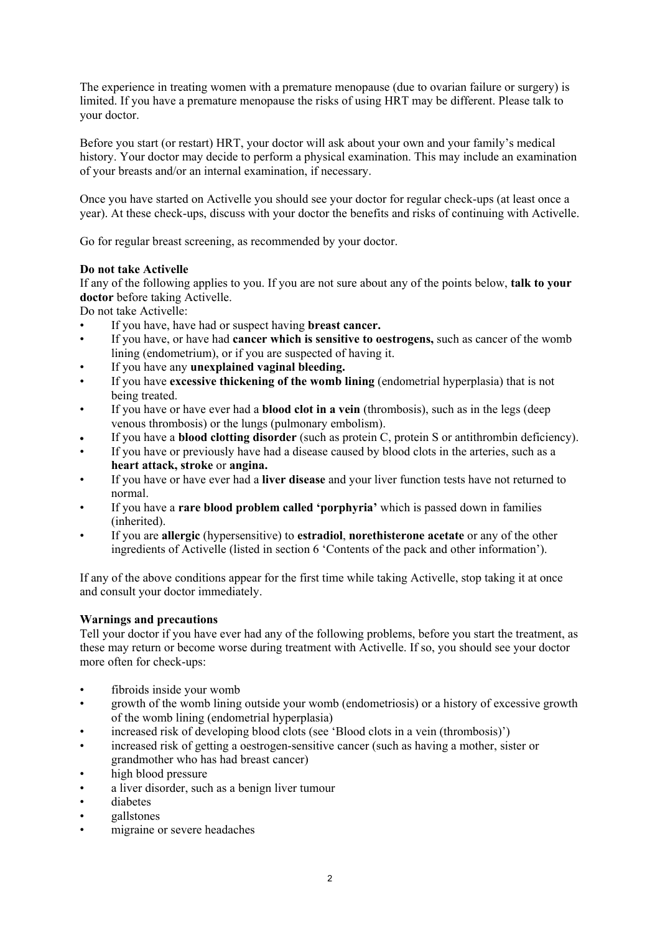The experience in treating women with a premature menopause (due to ovarian failure or surgery) is limited. If you have a premature menopause the risks of using HRT may be different. Please talk to your doctor.

Before you start (or restart) HRT, your doctor will ask about your own and your family's medical history. Your doctor may decide to perform a physical examination. This may include an examination of your breasts and/or an internal examination, if necessary.

Once you have started on Activelle you should see your doctor for regular check-ups (at least once a year). At these check-ups, discuss with your doctor the benefits and risks of continuing with Activelle.

Go for regular breast screening, as recommended by your doctor.

## **Do not take Activelle**

If any of the following applies to you. If you are not sure about any of the points below, **talk to your doctor** before taking Activelle.

Do not take Activelle:

- If you have, have had or suspect having **breast cancer.**
- If you have, or have had **cancer which is sensitive to oestrogens,** such as cancer of the womb lining (endometrium), or if you are suspected of having it.
- If you have any **unexplained vaginal bleeding.**
- If you have **excessive thickening of the womb lining** (endometrial hyperplasia) that is not being treated.
- If you have or have ever had a **blood clot in a vein** (thrombosis), such as in the legs (deep venous thrombosis) or the lungs (pulmonary embolism).
- If you have a **blood clotting disorder** (such as protein C, protein S or antithrombin deficiency).
- If you have or previously have had a disease caused by blood clots in the arteries, such as a **heart attack, stroke** or **angina.**
- If you have or have ever had a **liver disease** and your liver function tests have not returned to normal.
- If you have a **rare blood problem called 'porphyria'** which is passed down in families (inherited).
- If you are **allergic** (hypersensitive) to **estradiol**, **norethisterone acetate** or any of the other ingredients of Activelle (listed in section 6 'Contents of the pack and other information').

If any of the above conditions appear for the first time while taking Activelle, stop taking it at once and consult your doctor immediately.

## **Warnings and precautions**

Tell your doctor if you have ever had any of the following problems, before you start the treatment, as these may return or become worse during treatment with Activelle. If so, you should see your doctor more often for check-ups:

- fibroids inside your womb
- growth of the womb lining outside your womb (endometriosis) or a history of excessive growth of the womb lining (endometrial hyperplasia)
- increased risk of developing blood clots (see 'Blood clots in a vein (thrombosis)')
- increased risk of getting a oestrogen-sensitive cancer (such as having a mother, sister or grandmother who has had breast cancer)
- high blood pressure
- a liver disorder, such as a benign liver tumour
- diabetes
- gallstones
- migraine or severe headaches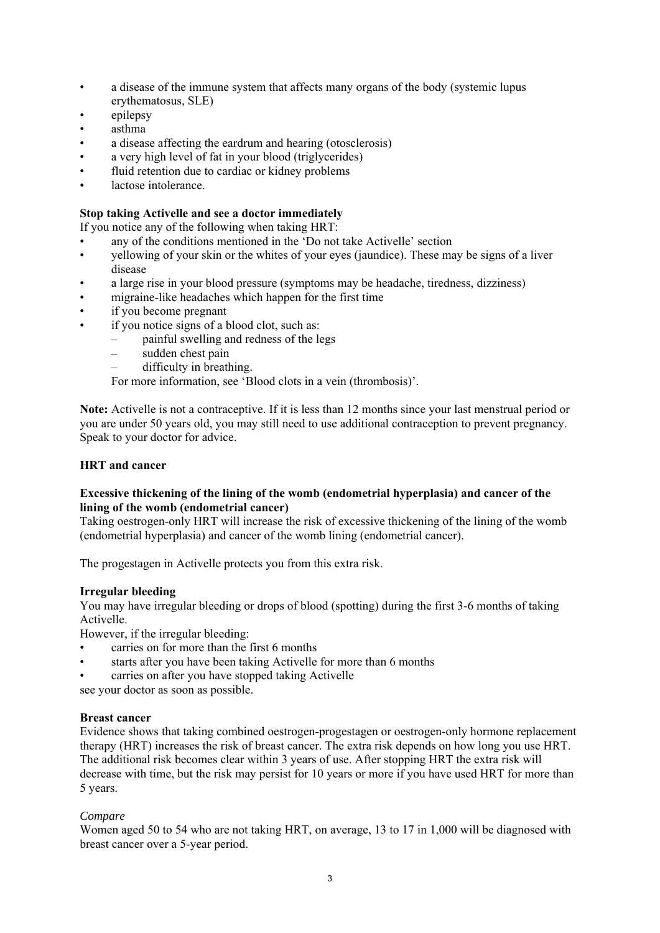- a disease of the immune system that affects many organs of the body (systemic lupus erythematosus, SLE)
- epilepsy
- asthma
- a disease affecting the eardrum and hearing (otosclerosis)
- a very high level of fat in your blood (triglycerides)
- fluid retention due to cardiac or kidney problems
- lactose intolerance.

# **Stop taking Activelle and see a doctor immediately**

If you notice any of the following when taking HRT:

- any of the conditions mentioned in the 'Do not take Activelle' section
- yellowing of your skin or the whites of your eyes (jaundice). These may be signs of a liver disease
- a large rise in your blood pressure (symptoms may be headache, tiredness, dizziness)
- migraine-like headaches which happen for the first time
- if you become pregnant
- if you notice signs of a blood clot, such as:
	- painful swelling and redness of the legs
	- sudden chest pain
		- difficulty in breathing.

For more information, see 'Blood clots in a vein (thrombosis)'.

**Note:** Activelle is not a contraceptive. If it is less than 12 months since your last menstrual period or you are under 50 years old, you may still need to use additional contraception to prevent pregnancy. Speak to your doctor for advice.

## **HRT and cancer**

## **Excessive thickening of the lining of the womb (endometrial hyperplasia) and cancer of the lining of the womb (endometrial cancer)**

Taking oestrogen-only HRT will increase the risk of excessive thickening of the lining of the womb (endometrial hyperplasia) and cancer of the womb lining (endometrial cancer).

The progestagen in Activelle protects you from this extra risk.

## **Irregular bleeding**

You may have irregular bleeding or drops of blood (spotting) during the first 3-6 months of taking Activelle.

However, if the irregular bleeding:

- carries on for more than the first 6 months
- starts after you have been taking Activelle for more than 6 months
- carries on after you have stopped taking Activelle

see your doctor as soon as possible.

## **Breast cancer**

Evidence shows that taking combined oestrogen-progestagen or oestrogen-only hormone replacement therapy (HRT) increases the risk of breast cancer. The extra risk depends on how long you use HRT. The additional risk becomes clear within 3 years of use. After stopping HRT the extra risk will decrease with time, but the risk may persist for 10 years or more if you have used HRT for more than 5 years.

## *Compare*

Women aged 50 to 54 who are not taking HRT, on average, 13 to 17 in 1,000 will be diagnosed with breast cancer over a 5-year period.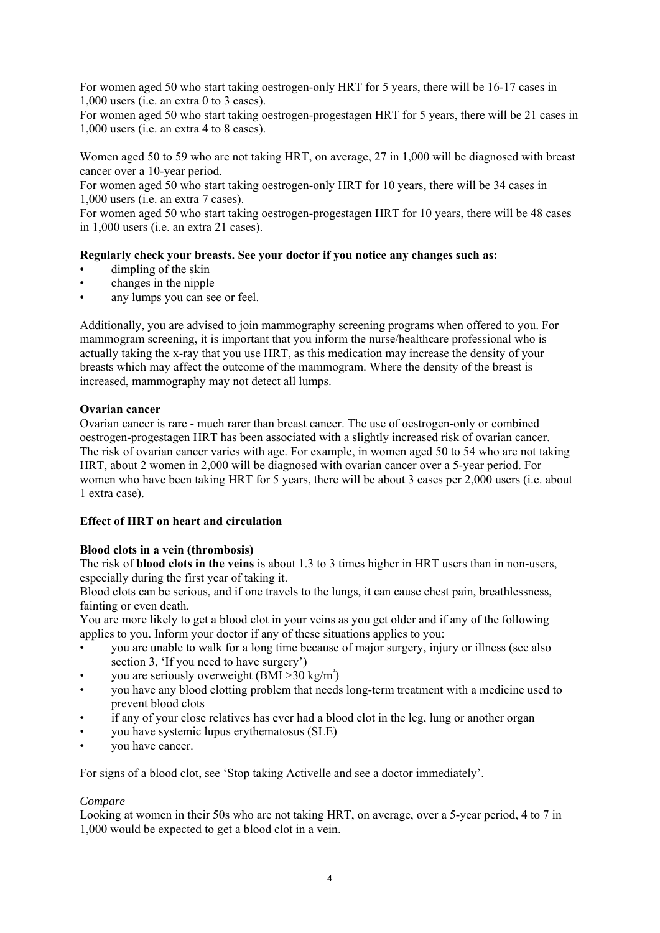For women aged 50 who start taking oestrogen-only HRT for 5 years, there will be 16-17 cases in 1,000 users (i.e. an extra 0 to 3 cases).

For women aged 50 who start taking oestrogen-progestagen HRT for 5 years, there will be 21 cases in 1,000 users (i.e. an extra 4 to 8 cases).

Women aged 50 to 59 who are not taking HRT, on average, 27 in 1,000 will be diagnosed with breast cancer over a 10-year period.

For women aged 50 who start taking oestrogen-only HRT for 10 years, there will be 34 cases in 1,000 users (i.e. an extra 7 cases).

For women aged 50 who start taking oestrogen-progestagen HRT for 10 years, there will be 48 cases in 1,000 users (i.e. an extra 21 cases).

## **Regularly check your breasts. See your doctor if you notice any changes such as:**

- dimpling of the skin
- changes in the nipple
- any lumps you can see or feel.

Additionally, you are advised to join mammography screening programs when offered to you. For mammogram screening, it is important that you inform the nurse/healthcare professional who is actually taking the x-ray that you use HRT, as this medication may increase the density of your breasts which may affect the outcome of the mammogram. Where the density of the breast is increased, mammography may not detect all lumps.

## **Ovarian cancer**

Ovarian cancer is rare - much rarer than breast cancer. The use of oestrogen-only or combined oestrogen-progestagen HRT has been associated with a slightly increased risk of ovarian cancer. The risk of ovarian cancer varies with age. For example, in women aged 50 to 54 who are not taking HRT, about 2 women in 2,000 will be diagnosed with ovarian cancer over a 5-year period. For women who have been taking HRT for 5 years, there will be about 3 cases per 2,000 users (i.e. about 1 extra case).

## **Effect of HRT on heart and circulation**

## **Blood clots in a vein (thrombosis)**

The risk of **blood clots in the veins** is about 1.3 to 3 times higher in HRT users than in non-users, especially during the first year of taking it.

Blood clots can be serious, and if one travels to the lungs, it can cause chest pain, breathlessness, fainting or even death.

You are more likely to get a blood clot in your veins as you get older and if any of the following applies to you. Inform your doctor if any of these situations applies to you:

- you are unable to walk for a long time because of major surgery, injury or illness (see also section 3, 'If you need to have surgery')
- you are seriously overweight  $(BMI > 30 \text{ kg/m}^2)$
- you have any blood clotting problem that needs long-term treatment with a medicine used to prevent blood clots
- if any of your close relatives has ever had a blood clot in the leg, lung or another organ
- you have systemic lupus erythematosus (SLE)
- you have cancer.

For signs of a blood clot, see 'Stop taking Activelle and see a doctor immediately'.

## *Compare*

Looking at women in their 50s who are not taking HRT, on average, over a 5-year period, 4 to 7 in 1,000 would be expected to get a blood clot in a vein.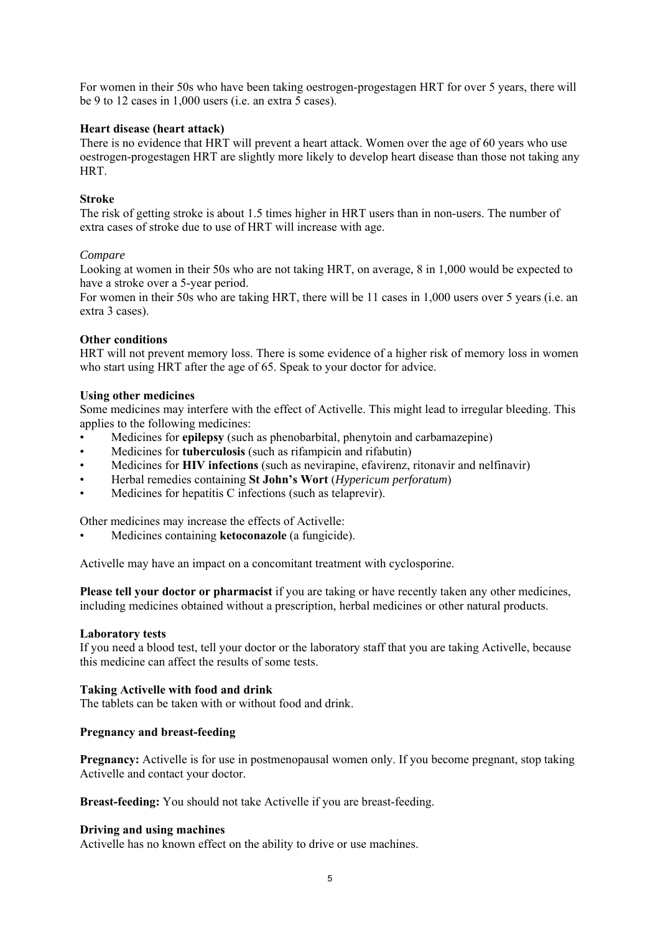For women in their 50s who have been taking oestrogen-progestagen HRT for over 5 years, there will be 9 to 12 cases in 1,000 users (i.e. an extra 5 cases).

### **Heart disease (heart attack)**

There is no evidence that HRT will prevent a heart attack. Women over the age of 60 years who use oestrogen-progestagen HRT are slightly more likely to develop heart disease than those not taking any HRT.

#### **Stroke**

The risk of getting stroke is about 1.5 times higher in HRT users than in non-users. The number of extra cases of stroke due to use of HRT will increase with age.

#### *Compare*

Looking at women in their 50s who are not taking HRT, on average, 8 in 1,000 would be expected to have a stroke over a 5-year period.

For women in their 50s who are taking HRT, there will be 11 cases in 1,000 users over 5 years (i.e. an extra 3 cases).

#### **Other conditions**

HRT will not prevent memory loss. There is some evidence of a higher risk of memory loss in women who start using HRT after the age of 65. Speak to your doctor for advice.

#### **Using other medicines**

Some medicines may interfere with the effect of Activelle. This might lead to irregular bleeding. This applies to the following medicines:

- Medicines for **epilepsy** (such as phenobarbital, phenytoin and carbamazepine)
- Medicines for **tuberculosis** (such as rifampicin and rifabutin)
- Medicines for **HIV infections** (such as nevirapine, efavirenz, ritonavir and nelfinavir)
- Herbal remedies containing **St John's Wort** (*Hypericum perforatum*)
- Medicines for hepatitis C infections (such as telaprevir).

Other medicines may increase the effects of Activelle:

• Medicines containing **ketoconazole** (a fungicide).

Activelle may have an impact on a concomitant treatment with cyclosporine.

**Please tell your doctor or pharmacist** if you are taking or have recently taken any other medicines, including medicines obtained without a prescription, herbal medicines or other natural products.

#### **Laboratory tests**

If you need a blood test, tell your doctor or the laboratory staff that you are taking Activelle, because this medicine can affect the results of some tests.

## **Taking Activelle with food and drink**

The tablets can be taken with or without food and drink.

#### **Pregnancy and breast-feeding**

**Pregnancy:** Activelle is for use in postmenopausal women only. If you become pregnant, stop taking Activelle and contact your doctor.

**Breast-feeding:** You should not take Activelle if you are breast-feeding.

#### **Driving and using machines**

Activelle has no known effect on the ability to drive or use machines.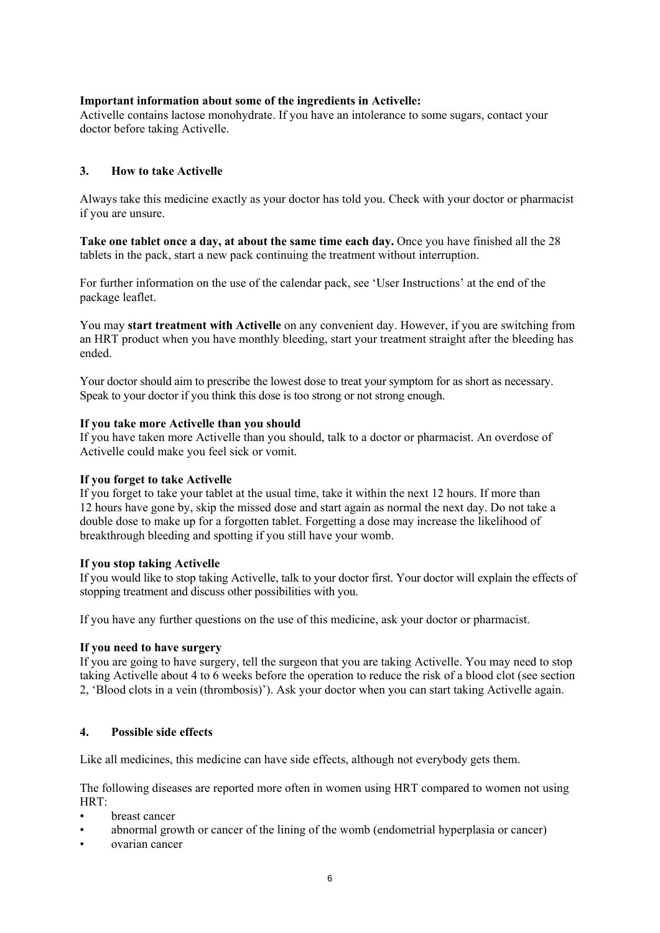## **Important information about some of the ingredients in Activelle:**

Activelle contains lactose monohydrate. If you have an intolerance to some sugars, contact your doctor before taking Activelle.

## **3. How to take Activelle**

Always take this medicine exactly as your doctor has told you. Check with your doctor or pharmacist if you are unsure.

**Take one tablet once a day, at about the same time each day.** Once you have finished all the 28 tablets in the pack, start a new pack continuing the treatment without interruption.

For further information on the use of the calendar pack, see 'User Instructions' at the end of the package leaflet.

You may **start treatment with Activelle** on any convenient day. However, if you are switching from an HRT product when you have monthly bleeding, start your treatment straight after the bleeding has ended.

Your doctor should aim to prescribe the lowest dose to treat your symptom for as short as necessary. Speak to your doctor if you think this dose is too strong or not strong enough.

#### **If you take more Activelle than you should**

If you have taken more Activelle than you should, talk to a doctor or pharmacist. An overdose of Activelle could make you feel sick or vomit.

## **If you forget to take Activelle**

If you forget to take your tablet at the usual time, take it within the next 12 hours. If more than 12 hours have gone by, skip the missed dose and start again as normal the next day. Do not take a double dose to make up for a forgotten tablet. Forgetting a dose may increase the likelihood of breakthrough bleeding and spotting if you still have your womb.

## **If you stop taking Activelle**

If you would like to stop taking Activelle, talk to your doctor first. Your doctor will explain the effects of stopping treatment and discuss other possibilities with you.

If you have any further questions on the use of this medicine, ask your doctor or pharmacist.

## **If you need to have surgery**

If you are going to have surgery, tell the surgeon that you are taking Activelle. You may need to stop taking Activelle about 4 to 6 weeks before the operation to reduce the risk of a blood clot (see section 2, 'Blood clots in a vein (thrombosis)'). Ask your doctor when you can start taking Activelle again.

## **4. Possible side effects**

Like all medicines, this medicine can have side effects, although not everybody gets them.

The following diseases are reported more often in women using HRT compared to women not using HRT:

- breast cancer
- abnormal growth or cancer of the lining of the womb (endometrial hyperplasia or cancer)
- ovarian cancer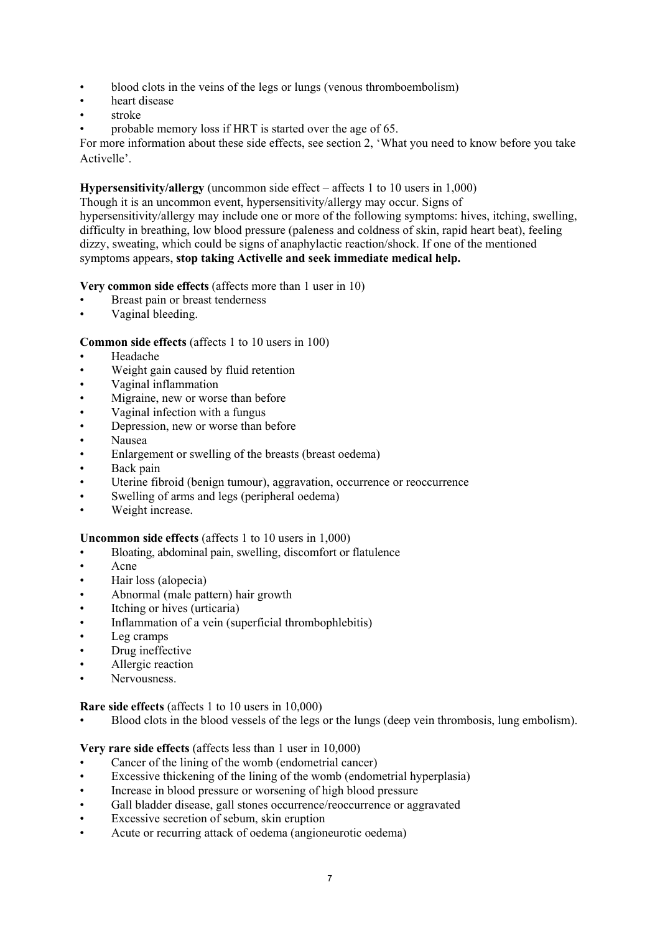- blood clots in the veins of the legs or lungs (venous thromboembolism)
- heart disease
- stroke
- probable memory loss if HRT is started over the age of 65.

For more information about these side effects, see section 2, 'What you need to know before you take Activelle'.

## **Hypersensitivity/allergy** (uncommon side effect – affects 1 to 10 users in 1,000)

Though it is an uncommon event, hypersensitivity/allergy may occur. Signs of hypersensitivity/allergy may include one or more of the following symptoms: hives, itching, swelling, difficulty in breathing, low blood pressure (paleness and coldness of skin, rapid heart beat), feeling dizzy, sweating, which could be signs of anaphylactic reaction/shock. If one of the mentioned symptoms appears, **stop taking Activelle and seek immediate medical help.**

## **Very common side effects** (affects more than 1 user in 10)

- Breast pain or breast tenderness
- Vaginal bleeding.

## **Common side effects** (affects 1 to 10 users in 100)

- Headache
- Weight gain caused by fluid retention
- Vaginal inflammation
- Migraine, new or worse than before
- Vaginal infection with a fungus
- Depression, new or worse than before
- Nausea
- Enlargement or swelling of the breasts (breast oedema)
- Back pain
- Uterine fibroid (benign tumour), aggravation, occurrence or reoccurrence
- Swelling of arms and legs (peripheral oedema)
- Weight increase.

## **Uncommon side effects** (affects 1 to 10 users in 1,000)

- Bloating, abdominal pain, swelling, discomfort or flatulence
- Acne
- Hair loss (alopecia)
- Abnormal (male pattern) hair growth
- Itching or hives (urticaria)
- Inflammation of a vein (superficial thrombophlebitis)
- Leg cramps
- Drug ineffective
- Allergic reaction
- Nervousness.

## **Rare side effects** (affects 1 to 10 users in 10,000)

• Blood clots in the blood vessels of the legs or the lungs (deep vein thrombosis, lung embolism).

## **Very rare side effects** (affects less than 1 user in 10,000)

- Cancer of the lining of the womb (endometrial cancer)
- Excessive thickening of the lining of the womb (endometrial hyperplasia)
- Increase in blood pressure or worsening of high blood pressure
- Gall bladder disease, gall stones occurrence/reoccurrence or aggravated
- Excessive secretion of sebum, skin eruption
- Acute or recurring attack of oedema (angioneurotic oedema)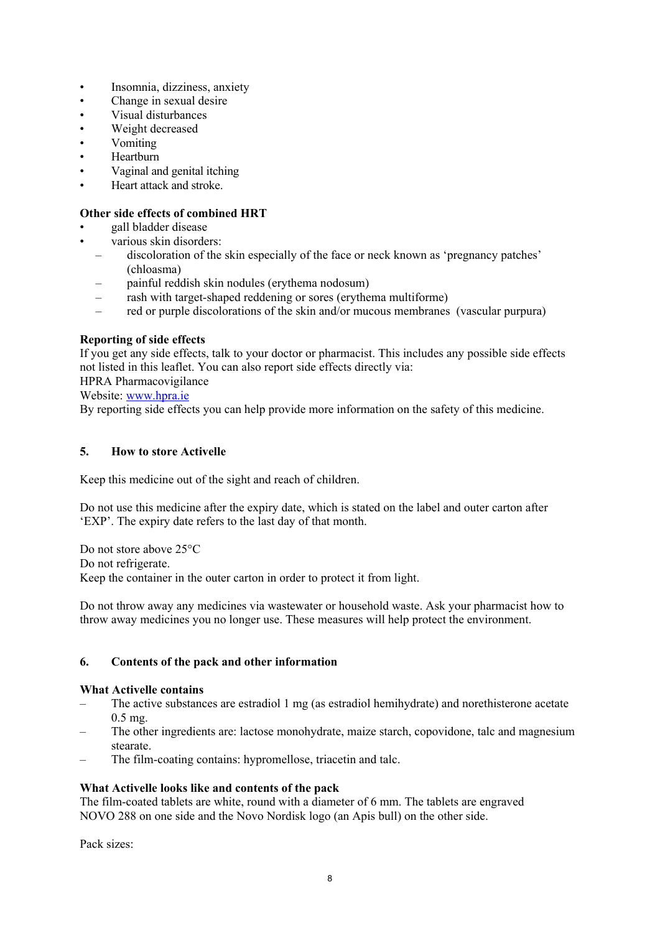- Insomnia, dizziness, anxiety
- Change in sexual desire
- Visual disturbances
- Weight decreased
- Vomiting
- Heartburn
- Vaginal and genital itching
- Heart attack and stroke.

# **Other side effects of combined HRT**

- gall bladder disease
- various skin disorders:
	- discoloration of the skin especially of the face or neck known as 'pregnancy patches' (chloasma)
	- painful reddish skin nodules (erythema nodosum)
	- rash with target-shaped reddening or sores (erythema multiforme)
	- red or purple discolorations of the skin and/or mucous membranes (vascular purpura)

# **Reporting of side effects**

If you get any side effects, talk to your doctor or pharmacist. This includes any possible side effects not listed in this leaflet. You can also report side effects directly via:

HPRA Pharmacovigilance

Website: www.hpra.ie

By reporting side effects you can help provide more information on the safety of this medicine.

# **5. How to store Activelle**

Keep this medicine out of the sight and reach of children.

Do not use this medicine after the expiry date, which is stated on the label and outer carton after 'EXP'. The expiry date refers to the last day of that month.

Do not store above 25°C Do not refrigerate. Keep the container in the outer carton in order to protect it from light.

Do not throw away any medicines via wastewater or household waste. Ask your pharmacist how to throw away medicines you no longer use. These measures will help protect the environment.

# **6. Contents of the pack and other information**

## **What Activelle contains**

- The active substances are estradiol 1 mg (as estradiol hemihydrate) and norethisterone acetate 0.5 mg.
- The other ingredients are: lactose monohydrate, maize starch, copovidone, talc and magnesium stearate.
- The film-coating contains: hypromellose, triacetin and talc.

# **What Activelle looks like and contents of the pack**

The film-coated tablets are white, round with a diameter of 6 mm. The tablets are engraved NOVO 288 on one side and the Novo Nordisk logo (an Apis bull) on the other side.

Pack sizes: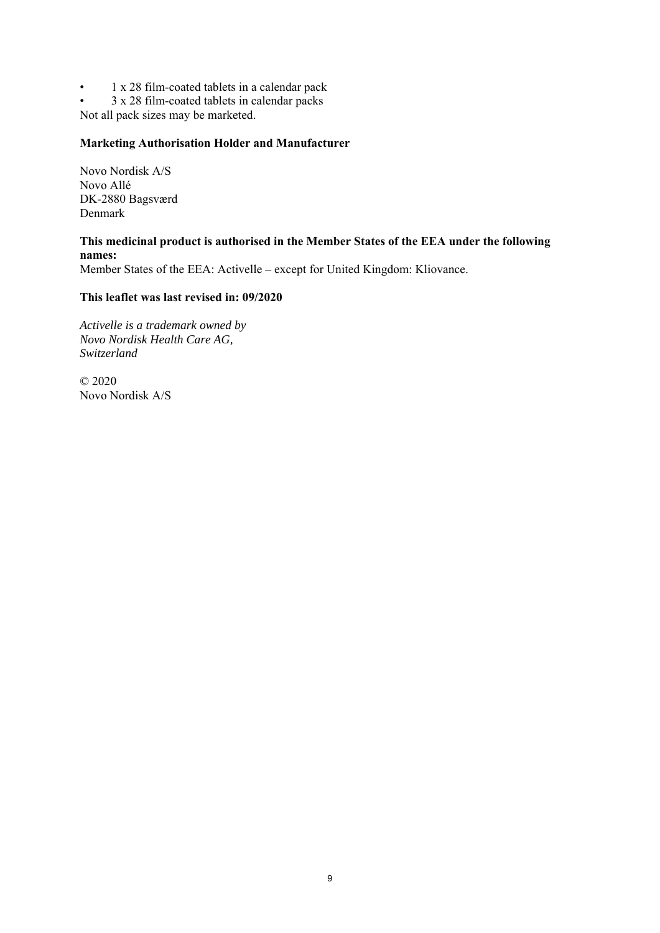• 1 x 28 film-coated tablets in a calendar pack

• 3 x 28 film-coated tablets in calendar packs

Not all pack sizes may be marketed.

### **Marketing Authorisation Holder and Manufacturer**

Novo Nordisk A/S Novo Allé DK-2880 Bagsværd Denmark

## **This medicinal product is authorised in the Member States of the EEA under the following names:**  Member States of the EEA: Activelle – except for United Kingdom: Kliovance.

**This leaflet was last revised in: 09/2020** 

*Activelle is a trademark owned by Novo Nordisk Health Care AG, Switzerland* 

© 2020 Novo Nordisk A/S